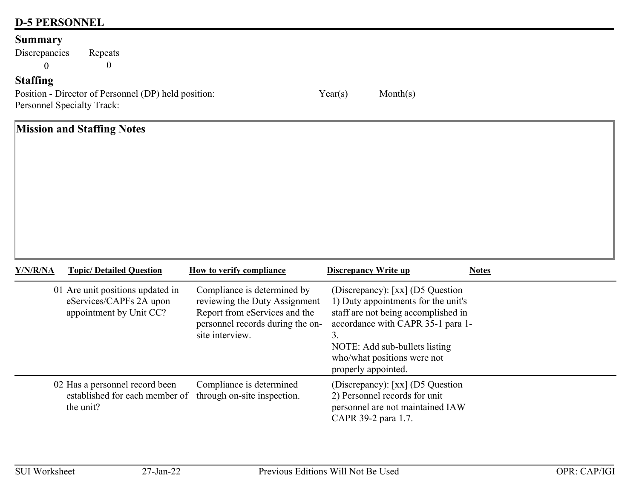## **D-5 PERSONNEL**

## **Summary**

Discrepancies Repeats 0 $0$  0

## **Staffing**

Position - Director of Personnel (DP) held position: Year(s) Month(s) Personnel Specialty Track:

**Mission and Staffing Notes Y/N/R/NATopic/ Detailed Question How to verify compliance Discrepancy Write up Notes** 01 Are unit positions updated in eServices/CAPFs 2A upon appointment by Unit CC? Compliance is determined by reviewing the Duty Assignment Report from eServices and the (Discrepancy): [xx] (D5 Question 1) Duty appointments for the unit's staff are not being accomplished in

|                                                                                                           | site interview.          | personnel records during the on- accordance with CAPR 35-1 para 1-<br>◡<br>NOTE: Add sub-bullets listing<br>who/what positions were not<br>properly appointed. |
|-----------------------------------------------------------------------------------------------------------|--------------------------|----------------------------------------------------------------------------------------------------------------------------------------------------------------|
| 02 Has a personnel record been<br>established for each member of through on-site inspection.<br>the unit? | Compliance is determined | (Discrepancy): [xx] (D5 Question<br>2) Personnel records for unit<br>personnel are not maintained IAW<br>CAPR 39-2 para 1.7.                                   |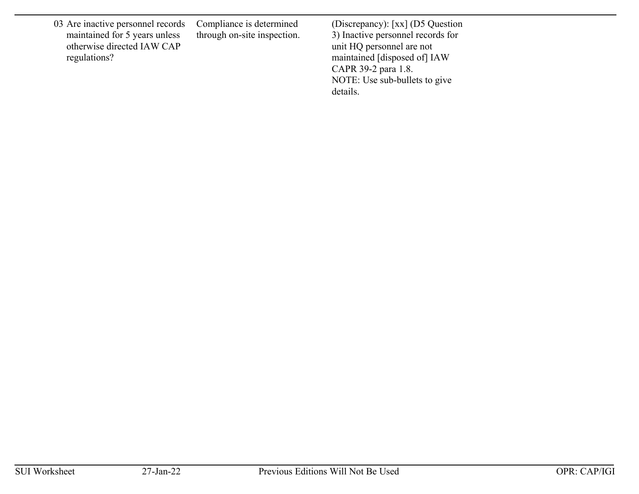03 Are inactive personnel records maintained for 5 years unless otherwise directed IAW CAP regulations?

Compliance is determined through on-site inspection.

(Discrepancy): [xx] (D5 Question 3) Inactive personnel records for unit HQ personnel are not maintained [disposed of] IAW CAPR 39-2 para 1.8. NOTE: Use sub-bullets to give details.